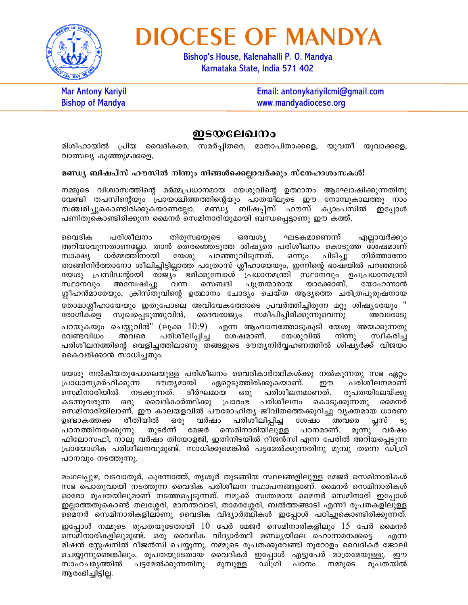

## **DIOCESE OF MANDYA**

Bishop's House, Kalenahalli P. O, Mandya Karnataka State, India 571 402

**Mar Antony Kariyil Bishop of Mandya** 

Email: antonykariyilcmi@gmail.com www.mandyadiocese.org

## ഇടയലേഖനം

മിശിഹായിൽ പ്രിയ വൈദികരെ, സമർപ്പിതരെ, മാതാപിതാക്കളെ, യുവതീ യുവാക്കളെ, വാത്സല്യ കുഞ്ഞുമക്കളെ,

## മണ്ഡ്യ ബിഷപ്സ് ഹൗസിൽ നിന്നും നിങ്ങൾക്കെല്ലാവർക്കും സ്നേഹാശംസകൾ!

നമ്മുടെ വിശ്വാസത്തിന്റെ മർമ്മപ്രധാനമായ യേശുവിന്റെ ഉത്ഥാനം ആഘോഷിക്കുന്നതിനു വേണ്ടി തപസിന്റെയും പ്രായശ്ചിത്തത്തിന്റെയും പാതയിലൂടെ ഈ നോമ്പുകാലത്തു നാം സഞ്ചരിച്ചുകൊണ്ടിരിക്കുകയാണല്ലോ. മണ്ഡ്യ ബിഷപ്പ്സ് ഹൗസ് ക്യാംപസിൽ ഇപ്പോൾ പണിതുകൊണ്ടിരിക്കുന്ന മൈനർ സെമിനാരിയുമായി ബന്ധപ്പെട്ടാണു ഈ കത്ത്.

വൈദിക പരിശീലനം തിരുസഭയുടെ ഒരവശ്യ ഘടകമാണെന്ന് എല്ലാവർക്കും അറിയാവുന്നതാണല്ലോ. താൻ തെരഞ്ഞെടുത്ത ശിഷ്യരെ പരിശീലനം കൊടുത്ത ശേഷമാണ് ധർമ്മത്തിനായി പറഞ്ഞുവിടുന്നത്. സാക്ഷ്യ യേശു ഒന്നും പിടിച്ചു നിർത്താനോ താങ്ങിനിർത്താനോ ശീലിച്ചിട്ടില്ലാത്ത പത്രോസ് ശ്ലീഹായേയും, ഇന്നിന്റെ ഭാഷയിൽ പറഞ്ഞാൽ യേശു പ്രസിഡന്റായി രാജ്യം ഭരിക്കുമ്പോൾ പ്രധാനമന്ത്രി സ്ഥാനവും ഉപപ്രധാനമന്ത്രി സെബദി യാക്കോബ്. സ്ഥാനവും അന്വേഷിച്ചു വന്ന പുത്രന്മാരായ യോഹന്നാൻ ശ്ലീഹൻമാരേയും, ക്രിസ്തുവിന്റെ ഉത്ഥാനം ചോദ്യം ചെയ്ത ആദ്യത്തെ ചരിത്രപുരുഷനായ തോമാശ്ലീഹായേയും ഇതുപോലെ അവിവേകത്തോടെ പ്രവർത്തിച്ചിരുന്ന മറ്റു ശിഷ്യരേയും " സുഖപ്പെടുത്തുവിൻ, ദൈവരാജ്യം സമീപിച്ചിരിക്കുന്നുവെന്നു രോഗികളെ അവരോടു പറയുകയും ചെയ്യുവിൻ'' (ലൂക്ക 10:9) എന്ന ആഹ്വാനത്തോടുകൂടി യേശു അയക്കുന്നതു പരിശീലിപ്പിച്ച യേശുവിൽ വേണ്ടവിധം അവരെ ശേഷമാണ്. നിന്നു സ്വീകരിച്ച പരിശീലനത്തിന്റെ വെളിച്ചത്തിലാണു തങ്ങളുടെ ദൗത്യനിർവ്വഹണത്തിൽ ശിഷ്യർക്ക് വിജയം കൈവരിക്കാൻ സാധിച്ചതും.

യേശു നൽകിയതുപോലെയുള്ള പരിശീലനം വൈദികാർത്ഥികൾക്കു നൽകുന്നതു സഭ ഏറ്റം പരിശീലനമാണ് പ്രാധാന്യമർഹിക്കുന്ന ദൗത്യമായി ഏറ്റെടുത്തിരിക്കുകയാണ്. ഈ സെമിനാരിയിൽ നടക്കുന്നത്. ദീർഘമായ<sup>്</sup> പരിശീലനമാണത്. രുപതയിലേയ്ക്കു ഒരു കടന്നുവരുന്ന ഒരു വൈദികാർത്ഥിക്കു പ്രാരംഭ പരിശീലനം കൊടുക്കുന്നതു മൈനർ സെമിനാരിയിലാണ്. ഈ കാലയളവിൽ പൗരോഹിതൃ ജീവിതത്തെക്കുറിച്ചു വൃക്തമായ ധാരണ വർഷം പരിശീലിപ്പിച്ച രീതിയിൽ ഉണ്ടാകത്തക്ക ഒരു ശേഷം അവരെ പ്പസ്  $S_{\lambda}$ തുടർന്ന് മേജർ സെമിനാരിയിലുള്ള പഠനത്തിനയക്കുന്നു. പഠനമാണ്. മുന്നു വർഷം ഫിലോസഫി, നാലു വർഷം തിയോളജി, ഇതിനിടയിൽ റീജൻസി എന്ന പേരിൽ അറിയപ്പെടുന്ന പ്രായോഗിക പരിശീലനവുമുണ്ട്. സാധിക്കുമെങ്കിൽ പട്ടമേൽക്കുന്നതിനു മുമ്പു തന്നെ ഡിഗ്രി പഠനവും നടത്തുന്നു.

മംഗലപ്പുഴ, വടവാതൂർ, കുന്നോത്ത്, തൃശൂർ തുടങ്ങിയ സ്ഥലങ്ങളിലുള്ള മേജർ സെമിനാരികൾ സഭ പൊതുവായി നടത്തുന്ന വൈദിക പരിശീലന സ്ഥാപനങ്ങളാണ്. മൈനർ സെമിനാരികൾ ഓരോ രൂപതയിലുമാണ് നടത്തപ്പെടുന്നത്. നമുക്ക് സ്വന്തമായ മൈനർ സെമിനാരി ഇപ്പോൾ ഇല്ലാത്തതുകൊണ്ട് തലശ്ശേരി, മാനന്തവാടി, താമരശ്ശേരി, ബൽത്തങ്ങാടി എന്നീ രൂപതകളിലുള്ള മൈനർ സെമിനാരികളിലാണു വൈദിക വിദ്യാർത്ഥികൾ ഇപ്പോൾ പഠിച്ചുകൊണ്ടിരിക്കുന്നത്. ഇപ്പോൾ നമ്മുടെ രൂപതയുടേതായി  $10$  പേർ മേജർ സെമിനാരികളിലും  $15$  പേർ മൈനർ സെമിനാരികളിലുമുണ്ട്. ഒരു വൈദിക വിദ്യാർത്ഥി മണ്ഡ്യയിലെ ഹൊന്നമനക്കട്ടെ എന്ന മിഷൻ സ്റ്റേഷനിൽ റീജൻസി ചെയ്യുന്നു. നമ്മുടെ രൂപതക്കുവേണ്ടി നൂറോളം വൈദികർ ജോലി ചെയ്യുന്നുണ്ടെങ്കിലും, രൂപതയുടേതായ വൈദികർ ഇപ്പോൾ എട്ടുപേർ മാത്രമേയുള്ളു. ഈ സാഹചര്യത്തിൽ പട്ടമേൽക്കുന്നതിനു മുമ്പുള്ള ഡിഗ്രി പഠനം നമ്മുടെ രുപതയിൽ ആരംഭിച്ചിട്ടില്ല.